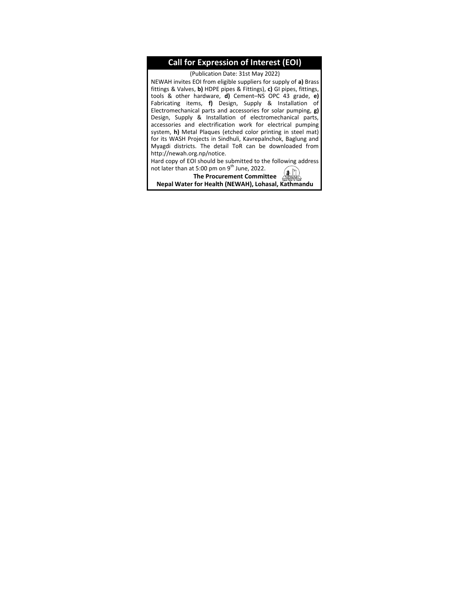#### **Call for Expression of Interest (EOI)**

(Publication Date: 31st May 2022)

NEWAH invites EOI from eligible suppliers for supply of **a)** Brass fittings & Valves, **b)** HDPE pipes & Fittings), **c)** GI pipes, fittings, tools & other hardware, **d)** Cement–NS OPC 43 grade, **e)** Fabricating items, **f)** Design, Supply & Installation of Electromechanical parts and accessories for solar pumping, **g)** Design, Supply & Installation of electromechanical parts, accessories and electrification work for electrical pumping system, **h)** Metal Plaques (etched color printing in steel mat) for its WASH Projects in Sindhuli, Kavrepalnchok, Baglung and Myagdi districts. The detail ToR can be downloaded from [http://newah.org.np/notice.](http://newah.org.np/notice)

Hard copy of EOI should be submitted to the following address not later than at 5:00 pm on 9<sup>th</sup> June, 2022.

**The Procurement Committee** (1)

**Nepal Water for Health (NEWAH), Lohasal, Kathmandu**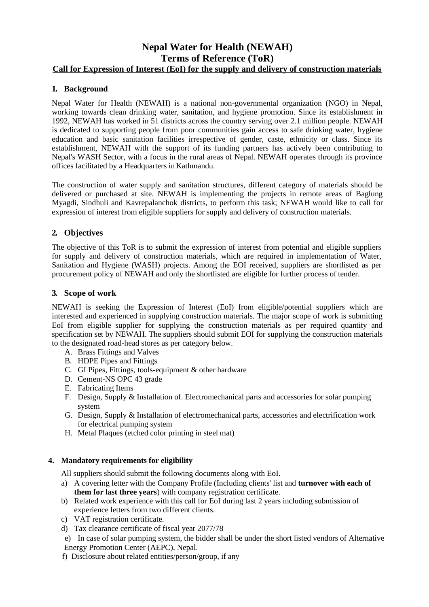## **Nepal Water for Health (NEWAH) Terms of Reference (ToR) Call for Expression of Interest (EoI) for the supply and delivery of construction materials**

## **1. Background**

Nepal Water for Health (NEWAH) is a national non-governmental organization (NGO) in Nepal, working towards clean drinking water, sanitation, and hygiene promotion. Since its establishment in 1992, NEWAH has worked in 51 districts across the country serving over 2.1 million people. NEWAH is dedicated to supporting people from poor communities gain access to safe drinking water, hygiene education and basic sanitation facilities irrespective of gender, caste, ethnicity or class. Since its establishment, NEWAH with the support of its funding partners has actively been contributing to Nepal's WASH Sector, with a focus in the rural areas of Nepal. NEWAH operates through its province offices facilitated by a Headquarters in Kathmandu.

The construction of water supply and sanitation structures, different category of materials should be delivered or purchased at site. NEWAH is implementing the projects in remote areas of Baglung Myagdi, Sindhuli and Kavrepalanchok districts, to perform this task; NEWAH would like to call for expression of interest from eligible suppliers for supply and delivery of construction materials.

## **2. Objectives**

The objective of this ToR is to submit the expression of interest from potential and eligible suppliers for supply and delivery of construction materials, which are required in implementation of Water, Sanitation and Hygiene (WASH) projects. Among the EOI received, suppliers are shortlisted as per procurement policy of NEWAH and only the shortlisted are eligible for further process of tender.

## **3. Scope of work**

NEWAH is seeking the Expression of Interest (EoI) from eligible/potential suppliers which are interested and experienced in supplying construction materials. The major scope of work is submitting EoI from eligible supplier for supplying the construction materials as per required quantity and specification set by NEWAH. The suppliers should submit EOI for supplying the construction materials to the designated road-head stores as per category below.

- A. Brass Fittings and Valves
- B. HDPE Pipes and Fittings
- C. GI Pipes, Fittings, tools-equipment & other hardware
- D. Cement-NS OPC 43 grade
- E. Fabricating Items
- F. Design, Supply & Installation of. Electromechanical parts and accessories for solar pumping system
- G. Design, Supply & Installation of electromechanical parts, accessories and electrification work for electrical pumping system
- H. Metal Plaques (etched color printing in steel mat)

## **4. Mandatory requirements for eligibility**

All suppliers should submit the following documents along with EoI.

- a) A covering letter with the Company Profile (Including clients' list and **turnover with each of them for last three years**) with company registration certificate.
- b) Related work experience with this call for EoI during last 2 years including submission of experience letters from two different clients.
- c) VAT registration certificate.
- d) Tax clearance certificate of fiscal year 2077/78

e) In case of solar pumping system, the bidder shall be under the short listed vendors of Alternative Energy Promotion Center (AEPC), Nepal.

f) Disclosure about related entities/person/group, if any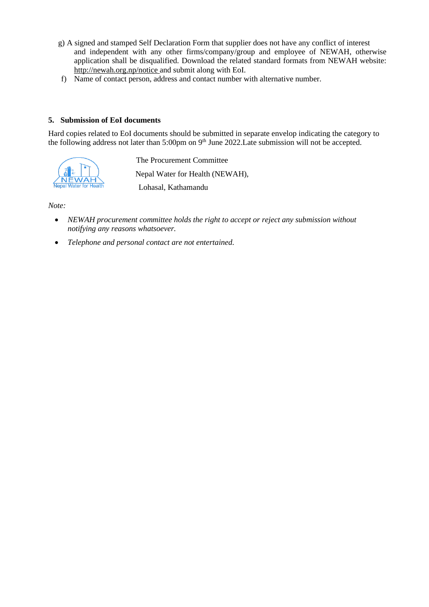- g) A signed and stamped Self Declaration Form that supplier does not have any conflict of interest and independent with any other firms/company/group and employee of NEWAH, otherwise application shall be disqualified. Download the related standard formats from NEWAH website: [http://newah.org.np/notice a](http://newah.org.np/notice)nd submit along with EoI.
- f) Name of contact person, address and contact number with alternative number.

#### **5. Submission of EoI documents**

Hard copies related to EoI documents should be submitted in separate envelop indicating the category to the following address not later than 5:00pm on 9<sup>th</sup> June 2022. Late submission will not be accepted.



 The Procurement Committee Nepal Water for Health (NEWAH), Lohasal, Kathamandu

*Note:*

- *NEWAH procurement committee holds the right to accept or reject any submission without notifying any reasons whatsoever.*
- *Telephone and personal contact are not entertained.*